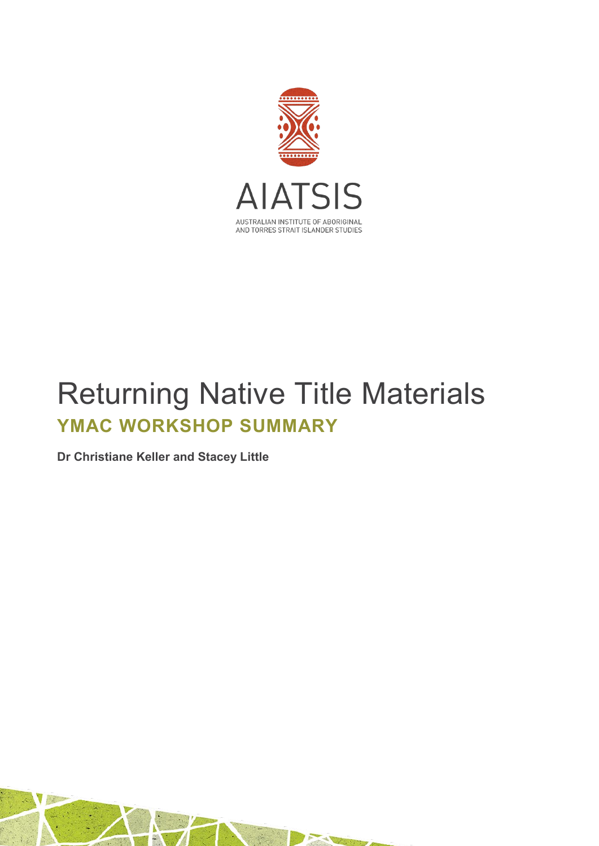

# Returning Native Title Materials **YMAC WORKSHOP SUMMARY**

**Dr Christiane Keller and Stacey Little**

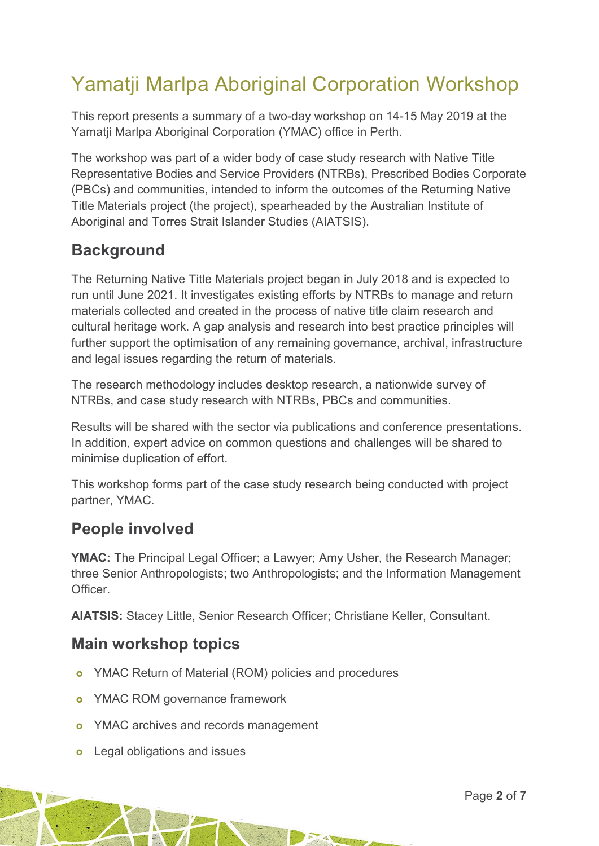## Yamatji Marlpa Aboriginal Corporation Workshop

This report presents a summary of a two-day workshop on 14-15 May 2019 at the Yamatji Marlpa Aboriginal Corporation (YMAC) office in Perth.

The workshop was part of a wider body of case study research with Native Title Representative Bodies and Service Providers (NTRBs), Prescribed Bodies Corporate (PBCs) and communities, intended to inform the outcomes of the Returning Native Title Materials project (the project), spearheaded by the Australian Institute of Aboriginal and Torres Strait Islander Studies (AIATSIS).

## **Background**

The Returning Native Title Materials project began in July 2018 and is expected to run until June 2021. It investigates existing efforts by NTRBs to manage and return materials collected and created in the process of native title claim research and cultural heritage work. A gap analysis and research into best practice principles will further support the optimisation of any remaining governance, archival, infrastructure and legal issues regarding the return of materials.

The research methodology includes desktop research, a nationwide survey of NTRBs, and case study research with NTRBs, PBCs and communities.

Results will be shared with the sector via publications and conference presentations. In addition, expert advice on common questions and challenges will be shared to minimise duplication of effort.

This workshop forms part of the case study research being conducted with project partner, YMAC.

## **People involved**

**YMAC:** The Principal Legal Officer; a Lawyer; Amy Usher, the Research Manager; three Senior Anthropologists; two Anthropologists; and the Information Management **Officer** 

O

**AIATSIS:** Stacey Little, Senior Research Officer; Christiane Keller, Consultant.

## **Main workshop topics**

- YMAC Return of Material (ROM) policies and procedures
- **o** YMAC ROM governance framework
- o YMAC archives and records management
- **o** Legal obligations and issues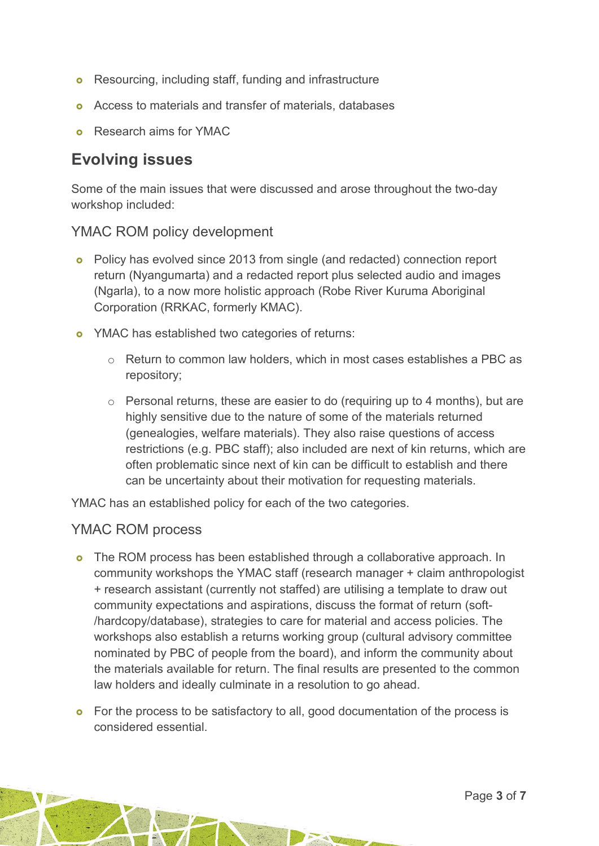- **o** Resourcing, including staff, funding and infrastructure
- Access to materials and transfer of materials, databases
- Research aims for YMAC

## **Evolving issues**

Some of the main issues that were discussed and arose throughout the two-day workshop included:

#### YMAC ROM policy development

- Policy has evolved since 2013 from single (and redacted) connection report return (Nyangumarta) and a redacted report plus selected audio and images (Ngarla), to a now more holistic approach (Robe River Kuruma Aboriginal Corporation (RRKAC, formerly KMAC).
- **o** YMAC has established two categories of returns:
	- o Return to common law holders, which in most cases establishes a PBC as repository;
	- $\circ$  Personal returns, these are easier to do (requiring up to 4 months), but are highly sensitive due to the nature of some of the materials returned (genealogies, welfare materials). They also raise questions of access restrictions (e.g. PBC staff); also included are next of kin returns, which are often problematic since next of kin can be difficult to establish and there can be uncertainty about their motivation for requesting materials.

YMAC has an established policy for each of the two categories.

#### YMAC ROM process

- **o** The ROM process has been established through a collaborative approach. In community workshops the YMAC staff (research manager + claim anthropologist + research assistant (currently not staffed) are utilising a template to draw out community expectations and aspirations, discuss the format of return (soft- /hardcopy/database), strategies to care for material and access policies. The workshops also establish a returns working group (cultural advisory committee nominated by PBC of people from the board), and inform the community about the materials available for return. The final results are presented to the common law holders and ideally culminate in a resolution to go ahead.
- **o** For the process to be satisfactory to all, good documentation of the process is considered essential.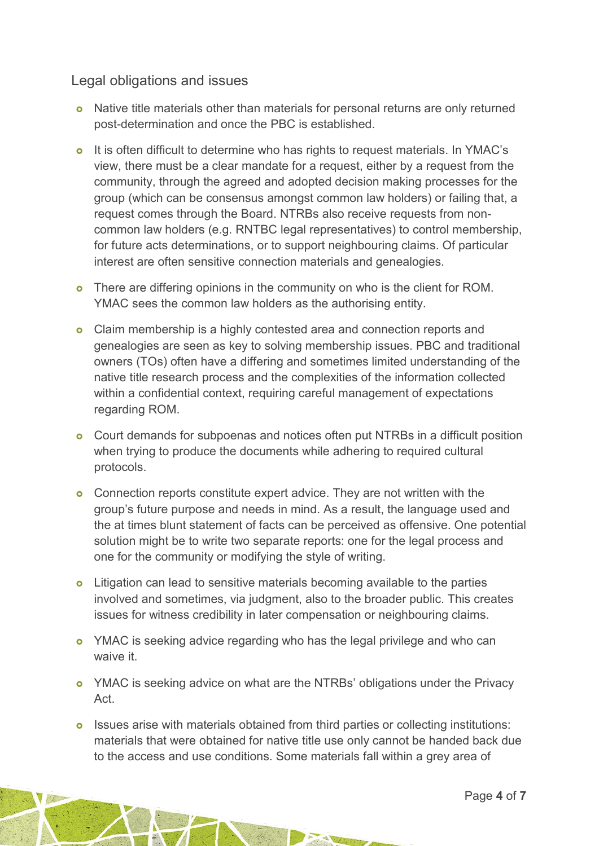#### Legal obligations and issues

- Native title materials other than materials for personal returns are only returned post-determination and once the PBC is established.
- o It is often difficult to determine who has rights to request materials. In YMAC's view, there must be a clear mandate for a request, either by a request from the community, through the agreed and adopted decision making processes for the group (which can be consensus amongst common law holders) or failing that, a request comes through the Board. NTRBs also receive requests from noncommon law holders (e.g. RNTBC legal representatives) to control membership, for future acts determinations, or to support neighbouring claims. Of particular interest are often sensitive connection materials and genealogies.
- **o** There are differing opinions in the community on who is the client for ROM. YMAC sees the common law holders as the authorising entity.
- Claim membership is a highly contested area and connection reports and genealogies are seen as key to solving membership issues. PBC and traditional owners (TOs) often have a differing and sometimes limited understanding of the native title research process and the complexities of the information collected within a confidential context, requiring careful management of expectations regarding ROM.
- Court demands for subpoenas and notices often put NTRBs in a difficult position when trying to produce the documents while adhering to required cultural protocols.
- **o** Connection reports constitute expert advice. They are not written with the group's future purpose and needs in mind. As a result, the language used and the at times blunt statement of facts can be perceived as offensive. One potential solution might be to write two separate reports: one for the legal process and one for the community or modifying the style of writing.
- **o** Litigation can lead to sensitive materials becoming available to the parties involved and sometimes, via judgment, also to the broader public. This creates issues for witness credibility in later compensation or neighbouring claims.
- **o** YMAC is seeking advice regarding who has the legal privilege and who can waive it.
- **o** YMAC is seeking advice on what are the NTRBs' obligations under the Privacy Act.
- **o** Issues arise with materials obtained from third parties or collecting institutions: materials that were obtained for native title use only cannot be handed back due to the access and use conditions. Some materials fall within a grey area of

A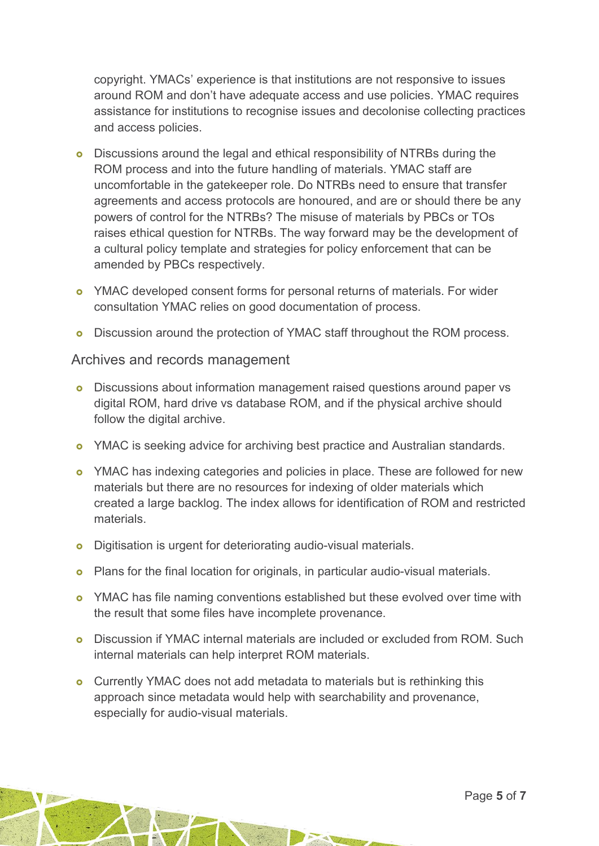copyright. YMACs' experience is that institutions are not responsive to issues around ROM and don't have adequate access and use policies. YMAC requires assistance for institutions to recognise issues and decolonise collecting practices and access policies.

- Discussions around the legal and ethical responsibility of NTRBs during the ROM process and into the future handling of materials. YMAC staff are uncomfortable in the gatekeeper role. Do NTRBs need to ensure that transfer agreements and access protocols are honoured, and are or should there be any powers of control for the NTRBs? The misuse of materials by PBCs or TOs raises ethical question for NTRBs. The way forward may be the development of a cultural policy template and strategies for policy enforcement that can be amended by PBCs respectively.
- o YMAC developed consent forms for personal returns of materials. For wider consultation YMAC relies on good documentation of process.
- **o** Discussion around the protection of YMAC staff throughout the ROM process.

#### Archives and records management

- Discussions about information management raised questions around paper vs digital ROM, hard drive vs database ROM, and if the physical archive should follow the digital archive.
- o YMAC is seeking advice for archiving best practice and Australian standards.
- **o** YMAC has indexing categories and policies in place. These are followed for new materials but there are no resources for indexing of older materials which created a large backlog. The index allows for identification of ROM and restricted materials.
- **o** Digitisation is urgent for deteriorating audio-visual materials.
- **o** Plans for the final location for originals, in particular audio-visual materials.
- **o** YMAC has file naming conventions established but these evolved over time with the result that some files have incomplete provenance.
- Discussion if YMAC internal materials are included or excluded from ROM. Such internal materials can help interpret ROM materials.

**AV** 

**o** Currently YMAC does not add metadata to materials but is rethinking this approach since metadata would help with searchability and provenance, especially for audio-visual materials.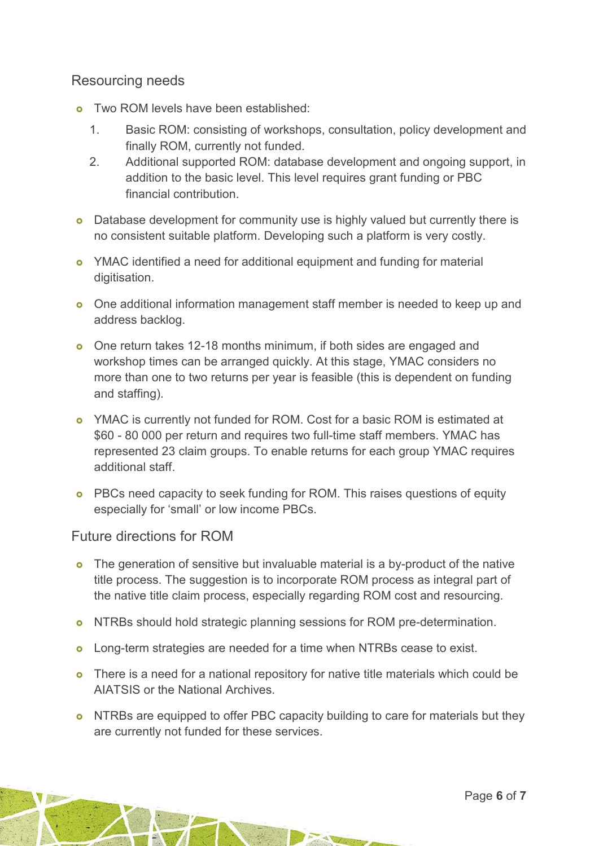#### Resourcing needs

- o Two ROM levels have been established:
	- 1. Basic ROM: consisting of workshops, consultation, policy development and finally ROM, currently not funded.
	- 2. Additional supported ROM: database development and ongoing support, in addition to the basic level. This level requires grant funding or PBC financial contribution.
- **o** Database development for community use is highly valued but currently there is no consistent suitable platform. Developing such a platform is very costly.
- YMAC identified a need for additional equipment and funding for material digitisation.
- One additional information management staff member is needed to keep up and address backlog.
- o One return takes 12-18 months minimum, if both sides are engaged and workshop times can be arranged quickly. At this stage, YMAC considers no more than one to two returns per year is feasible (this is dependent on funding and staffing).
- YMAC is currently not funded for ROM. Cost for a basic ROM is estimated at \$60 - 80 000 per return and requires two full-time staff members. YMAC has represented 23 claim groups. To enable returns for each group YMAC requires additional staff.
- **o** PBCs need capacity to seek funding for ROM. This raises questions of equity especially for 'small' or low income PBCs.

#### Future directions for ROM

- **o** The generation of sensitive but invaluable material is a by-product of the native title process. The suggestion is to incorporate ROM process as integral part of the native title claim process, especially regarding ROM cost and resourcing.
- o NTRBs should hold strategic planning sessions for ROM pre-determination.
- **o** Long-term strategies are needed for a time when NTRBs cease to exist.
- **o** There is a need for a national repository for native title materials which could be AIATSIS or the National Archives.
- o NTRBs are equipped to offer PBC capacity building to care for materials but they are currently not funded for these services.

PACK OF